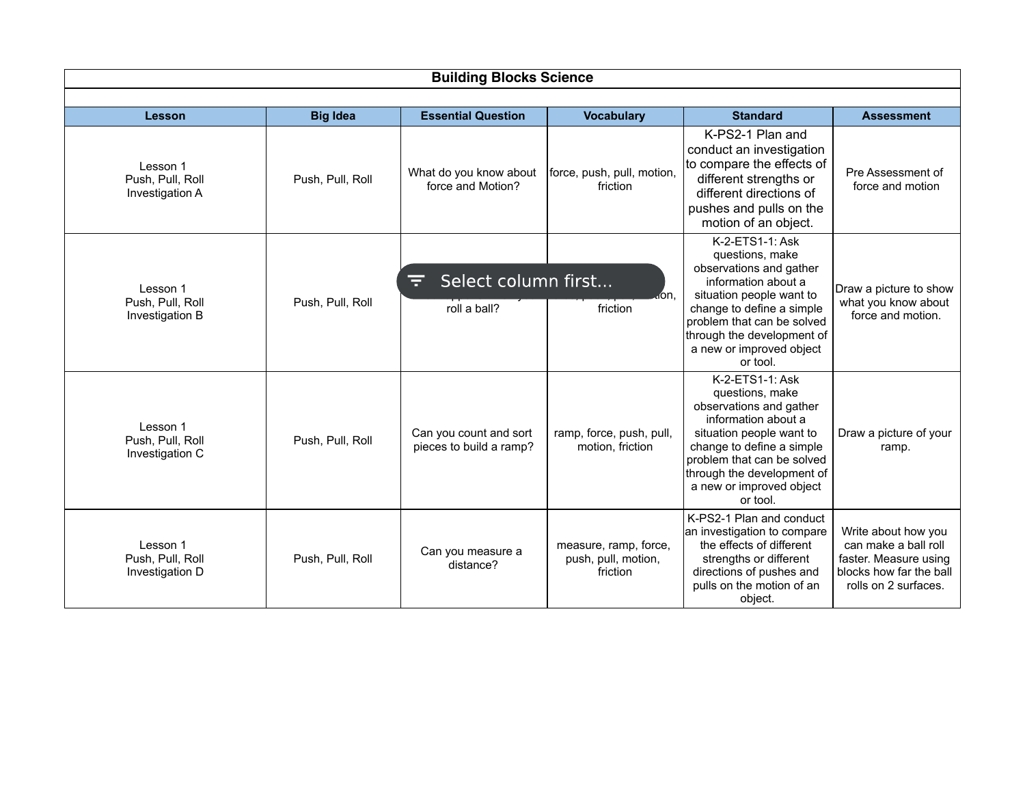| <b>Building Blocks Science</b>                  |                  |                                                   |                                                          |                                                                                                                                                                                                                                                   |                                                                                                                         |  |
|-------------------------------------------------|------------------|---------------------------------------------------|----------------------------------------------------------|---------------------------------------------------------------------------------------------------------------------------------------------------------------------------------------------------------------------------------------------------|-------------------------------------------------------------------------------------------------------------------------|--|
|                                                 |                  |                                                   |                                                          |                                                                                                                                                                                                                                                   |                                                                                                                         |  |
| Lesson                                          | <b>Big Idea</b>  | <b>Essential Question</b>                         | <b>Vocabulary</b>                                        | <b>Standard</b>                                                                                                                                                                                                                                   | <b>Assessment</b>                                                                                                       |  |
| Lesson 1<br>Push, Pull, Roll<br>Investigation A | Push, Pull, Roll | What do you know about<br>force and Motion?       | force, push, pull, motion,<br>friction                   | K-PS2-1 Plan and<br>conduct an investigation<br>to compare the effects of<br>different strengths or<br>different directions of<br>pushes and pulls on the<br>motion of an object.                                                                 | Pre Assessment of<br>force and motion                                                                                   |  |
| Lesson 1<br>Push, Pull, Roll<br>Investigation B | Push, Pull, Roll | Select column first<br>F<br>roll a ball?          | don.<br>friction                                         | K-2-ETS1-1: Ask<br>questions, make<br>observations and gather<br>information about a<br>situation people want to<br>change to define a simple<br>problem that can be solved<br>through the development of<br>a new or improved object<br>or tool. | Draw a picture to show<br>what you know about<br>force and motion.                                                      |  |
| Lesson 1<br>Push, Pull, Roll<br>Investigation C | Push, Pull, Roll | Can you count and sort<br>pieces to build a ramp? | ramp, force, push, pull,<br>motion, friction             | K-2-ETS1-1: Ask<br>questions, make<br>observations and gather<br>information about a<br>situation people want to<br>change to define a simple<br>problem that can be solved<br>through the development of<br>a new or improved object<br>or tool. | Draw a picture of your<br>ramp.                                                                                         |  |
| Lesson 1<br>Push, Pull, Roll<br>Investigation D | Push, Pull, Roll | Can you measure a<br>distance?                    | measure, ramp, force,<br>push, pull, motion,<br>friction | K-PS2-1 Plan and conduct<br>an investigation to compare<br>the effects of different<br>strengths or different<br>directions of pushes and<br>pulls on the motion of an<br>object.                                                                 | Write about how you<br>can make a ball roll<br>faster. Measure using<br>blocks how far the ball<br>rolls on 2 surfaces. |  |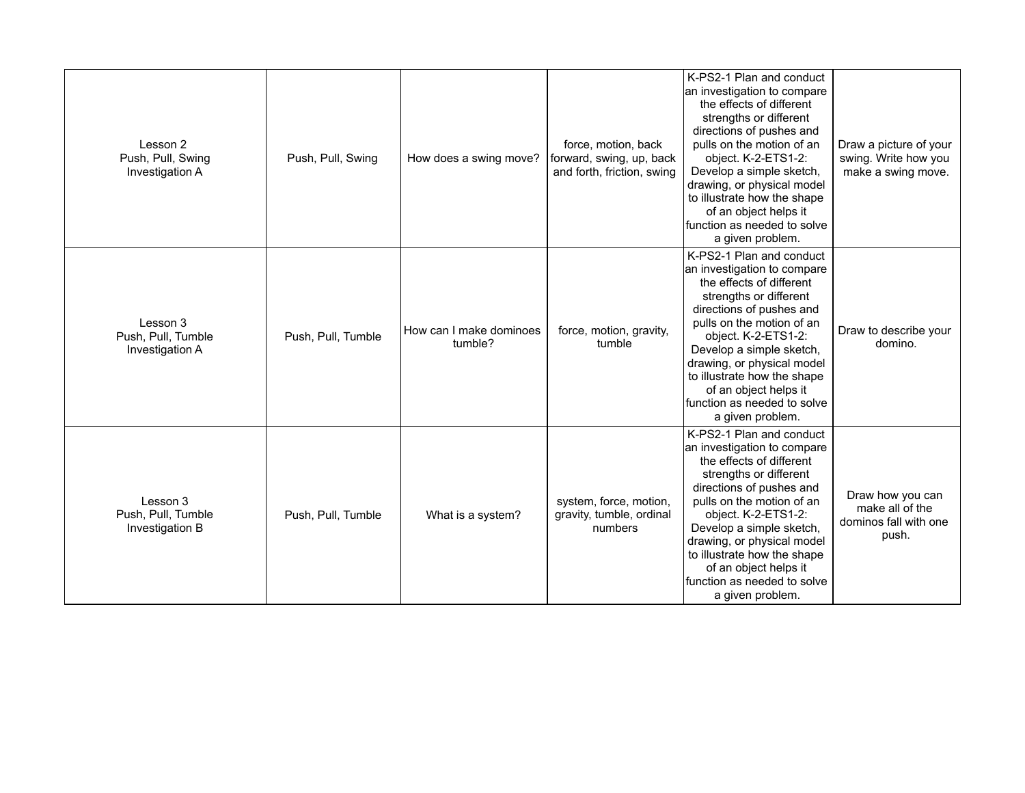| Lesson 2<br>Push, Pull, Swing<br>Investigation A  | Push, Pull, Swing  | How does a swing move?             | force, motion, back<br>forward, swing, up, back<br>and forth, friction, swing | K-PS2-1 Plan and conduct<br>an investigation to compare<br>the effects of different<br>strengths or different<br>directions of pushes and<br>pulls on the motion of an<br>object. K-2-ETS1-2:<br>Develop a simple sketch,<br>drawing, or physical model<br>to illustrate how the shape<br>of an object helps it<br>function as needed to solve<br>a given problem. | Draw a picture of your<br>swing. Write how you<br>make a swing move.  |
|---------------------------------------------------|--------------------|------------------------------------|-------------------------------------------------------------------------------|--------------------------------------------------------------------------------------------------------------------------------------------------------------------------------------------------------------------------------------------------------------------------------------------------------------------------------------------------------------------|-----------------------------------------------------------------------|
| Lesson 3<br>Push, Pull, Tumble<br>Investigation A | Push, Pull, Tumble | How can I make dominoes<br>tumble? | force, motion, gravity,<br>tumble                                             | K-PS2-1 Plan and conduct<br>an investigation to compare<br>the effects of different<br>strengths or different<br>directions of pushes and<br>pulls on the motion of an<br>object. K-2-ETS1-2:<br>Develop a simple sketch,<br>drawing, or physical model<br>to illustrate how the shape<br>of an object helps it<br>function as needed to solve<br>a given problem. | Draw to describe your<br>domino.                                      |
| Lesson 3<br>Push, Pull, Tumble<br>Investigation B | Push, Pull, Tumble | What is a system?                  | system, force, motion,<br>gravity, tumble, ordinal<br>numbers                 | K-PS2-1 Plan and conduct<br>an investigation to compare<br>the effects of different<br>strengths or different<br>directions of pushes and<br>pulls on the motion of an<br>object. K-2-ETS1-2:<br>Develop a simple sketch,<br>drawing, or physical model<br>to illustrate how the shape<br>of an object helps it<br>function as needed to solve<br>a given problem. | Draw how you can<br>make all of the<br>dominos fall with one<br>push. |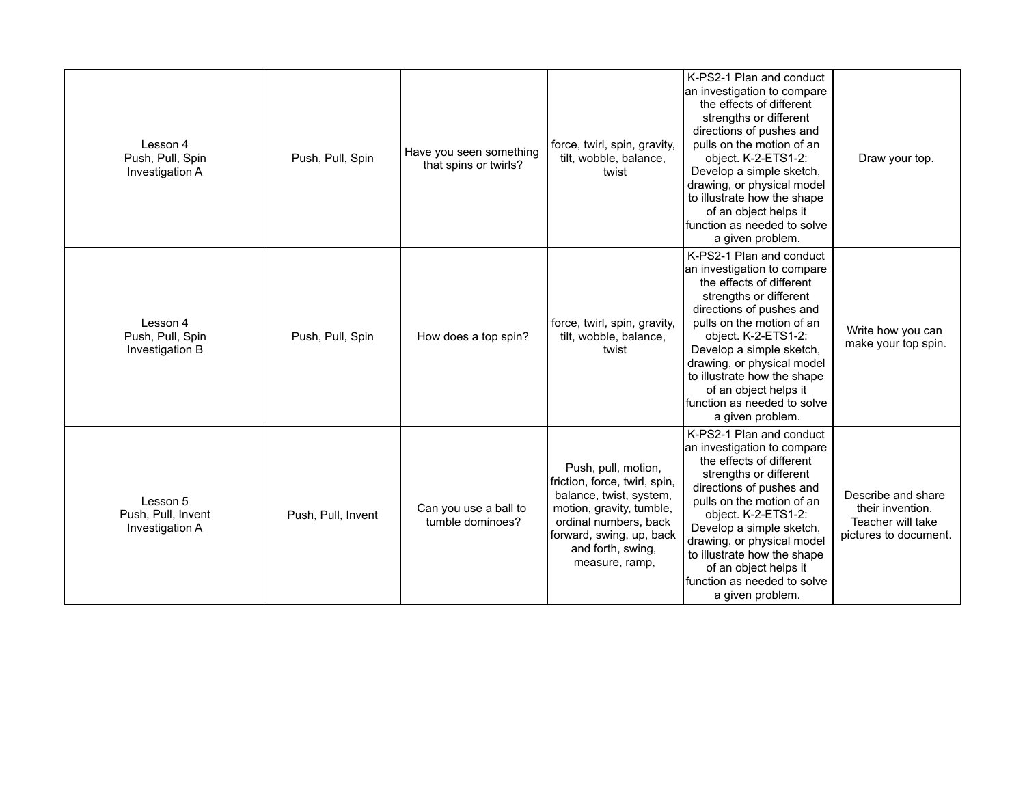| Lesson 4<br>Push, Pull, Spin<br>Investigation A   | Push, Pull, Spin   | Have you seen something<br>that spins or twirls? | force, twirl, spin, gravity,<br>tilt, wobble, balance,<br>twist                                                                                                                                         | K-PS2-1 Plan and conduct<br>an investigation to compare<br>the effects of different<br>strengths or different<br>directions of pushes and<br>pulls on the motion of an<br>object. K-2-ETS1-2:<br>Develop a simple sketch,<br>drawing, or physical model<br>to illustrate how the shape<br>of an object helps it<br>function as needed to solve<br>a given problem. | Draw your top.                                                                       |
|---------------------------------------------------|--------------------|--------------------------------------------------|---------------------------------------------------------------------------------------------------------------------------------------------------------------------------------------------------------|--------------------------------------------------------------------------------------------------------------------------------------------------------------------------------------------------------------------------------------------------------------------------------------------------------------------------------------------------------------------|--------------------------------------------------------------------------------------|
| Lesson 4<br>Push, Pull, Spin<br>Investigation B   | Push, Pull, Spin   | How does a top spin?                             | force, twirl, spin, gravity,<br>tilt, wobble, balance,<br>twist                                                                                                                                         | K-PS2-1 Plan and conduct<br>an investigation to compare<br>the effects of different<br>strengths or different<br>directions of pushes and<br>pulls on the motion of an<br>object. K-2-ETS1-2:<br>Develop a simple sketch,<br>drawing, or physical model<br>to illustrate how the shape<br>of an object helps it<br>function as needed to solve<br>a given problem. | Write how you can<br>make your top spin.                                             |
| Lesson 5<br>Push, Pull, Invent<br>Investigation A | Push, Pull, Invent | Can you use a ball to<br>tumble dominoes?        | Push, pull, motion,<br>friction, force, twirl, spin,<br>balance, twist, system,<br>motion, gravity, tumble,<br>ordinal numbers, back<br>forward, swing, up, back<br>and forth, swing,<br>measure, ramp, | K-PS2-1 Plan and conduct<br>an investigation to compare<br>the effects of different<br>strengths or different<br>directions of pushes and<br>pulls on the motion of an<br>object. K-2-ETS1-2:<br>Develop a simple sketch,<br>drawing, or physical model<br>to illustrate how the shape<br>of an object helps it<br>function as needed to solve<br>a given problem. | Describe and share<br>their invention.<br>Teacher will take<br>pictures to document. |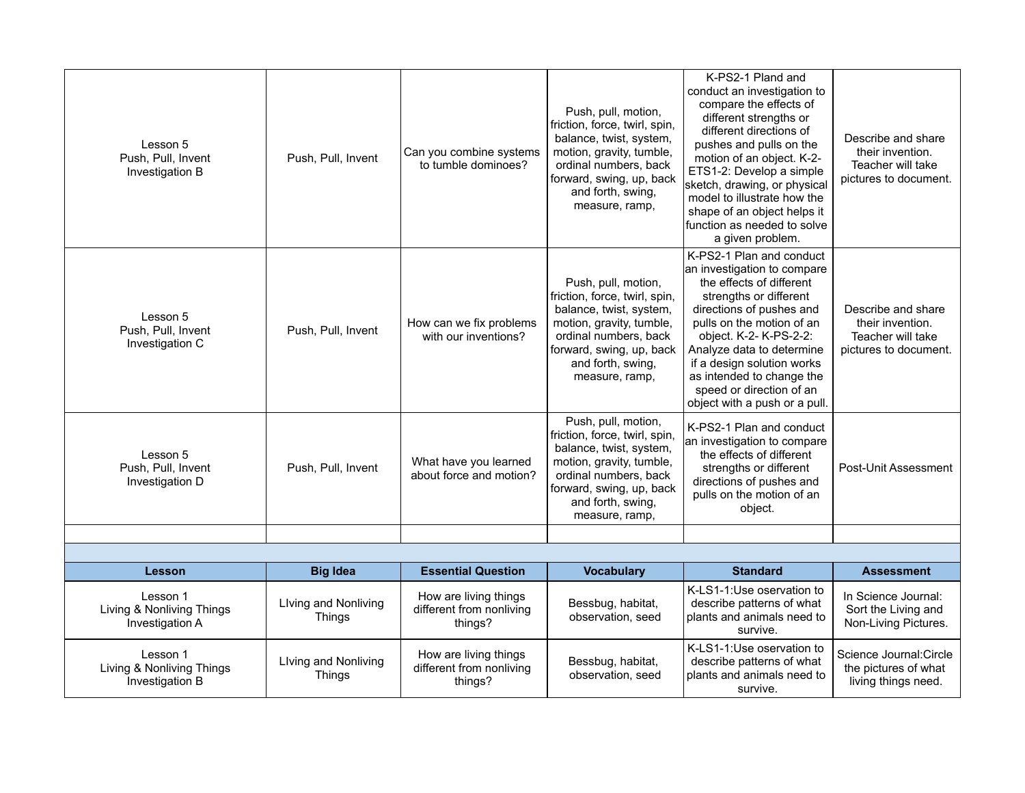| Lesson 5<br>Push, Pull, Invent<br>Investigation B        | Push, Pull, Invent                    | Can you combine systems<br>to tumble dominoes?               | Push, pull, motion,<br>friction, force, twirl, spin,<br>balance, twist, system,<br>motion, gravity, tumble,<br>ordinal numbers, back<br>forward, swing, up, back<br>and forth, swing,<br>measure, ramp, | K-PS2-1 Pland and<br>conduct an investigation to<br>compare the effects of<br>different strengths or<br>different directions of<br>pushes and pulls on the<br>motion of an object. K-2-<br>ETS1-2: Develop a simple<br>sketch, drawing, or physical<br>model to illustrate how the<br>shape of an object helps it<br>function as needed to solve<br>a given problem. | Describe and share<br>their invention.<br>Teacher will take<br>pictures to document. |
|----------------------------------------------------------|---------------------------------------|--------------------------------------------------------------|---------------------------------------------------------------------------------------------------------------------------------------------------------------------------------------------------------|----------------------------------------------------------------------------------------------------------------------------------------------------------------------------------------------------------------------------------------------------------------------------------------------------------------------------------------------------------------------|--------------------------------------------------------------------------------------|
| Lesson 5<br>Push, Pull, Invent<br>Investigation C        | Push, Pull, Invent                    | How can we fix problems<br>with our inventions?              | Push, pull, motion,<br>friction, force, twirl, spin,<br>balance, twist, system,<br>motion, gravity, tumble,<br>ordinal numbers, back<br>forward, swing, up, back<br>and forth, swing,<br>measure, ramp, | K-PS2-1 Plan and conduct<br>an investigation to compare<br>the effects of different<br>strengths or different<br>directions of pushes and<br>pulls on the motion of an<br>object. K-2- K-PS-2-2:<br>Analyze data to determine<br>if a design solution works<br>as intended to change the<br>speed or direction of an<br>object with a push or a pull.                | Describe and share<br>their invention.<br>Teacher will take<br>pictures to document. |
| Lesson 5<br>Push, Pull, Invent<br>Investigation D        | Push, Pull, Invent                    | What have you learned<br>about force and motion?             | Push, pull, motion,<br>friction, force, twirl, spin,<br>balance, twist, system,<br>motion, gravity, tumble,<br>ordinal numbers, back<br>forward, swing, up, back<br>and forth, swing,<br>measure, ramp, | K-PS2-1 Plan and conduct<br>an investigation to compare<br>the effects of different<br>strengths or different<br>directions of pushes and<br>pulls on the motion of an<br>object.                                                                                                                                                                                    | Post-Unit Assessment                                                                 |
|                                                          |                                       |                                                              |                                                                                                                                                                                                         |                                                                                                                                                                                                                                                                                                                                                                      |                                                                                      |
| <b>Lesson</b>                                            | <b>Big Idea</b>                       | <b>Essential Question</b>                                    | <b>Vocabulary</b>                                                                                                                                                                                       | <b>Standard</b>                                                                                                                                                                                                                                                                                                                                                      | <b>Assessment</b>                                                                    |
| Lesson 1<br>Living & Nonliving Things<br>Investigation A | Living and Nonliving<br>Things        | How are living things<br>different from nonliving<br>things? | Bessbug, habitat,<br>observation, seed                                                                                                                                                                  | K-LS1-1:Use oservation to<br>describe patterns of what<br>plants and animals need to<br>survive.                                                                                                                                                                                                                                                                     | In Science Journal:<br>Sort the Living and<br>Non-Living Pictures.                   |
| Lesson 1<br>Living & Nonliving Things<br>Investigation B | Living and Nonliving<br><b>Things</b> | How are living things<br>different from nonliving<br>things? | Bessbug, habitat,<br>observation, seed                                                                                                                                                                  | K-LS1-1:Use oservation to<br>describe patterns of what<br>plants and animals need to<br>survive.                                                                                                                                                                                                                                                                     | Science Journal:Circle<br>the pictures of what<br>living things need.                |
|                                                          |                                       |                                                              |                                                                                                                                                                                                         |                                                                                                                                                                                                                                                                                                                                                                      |                                                                                      |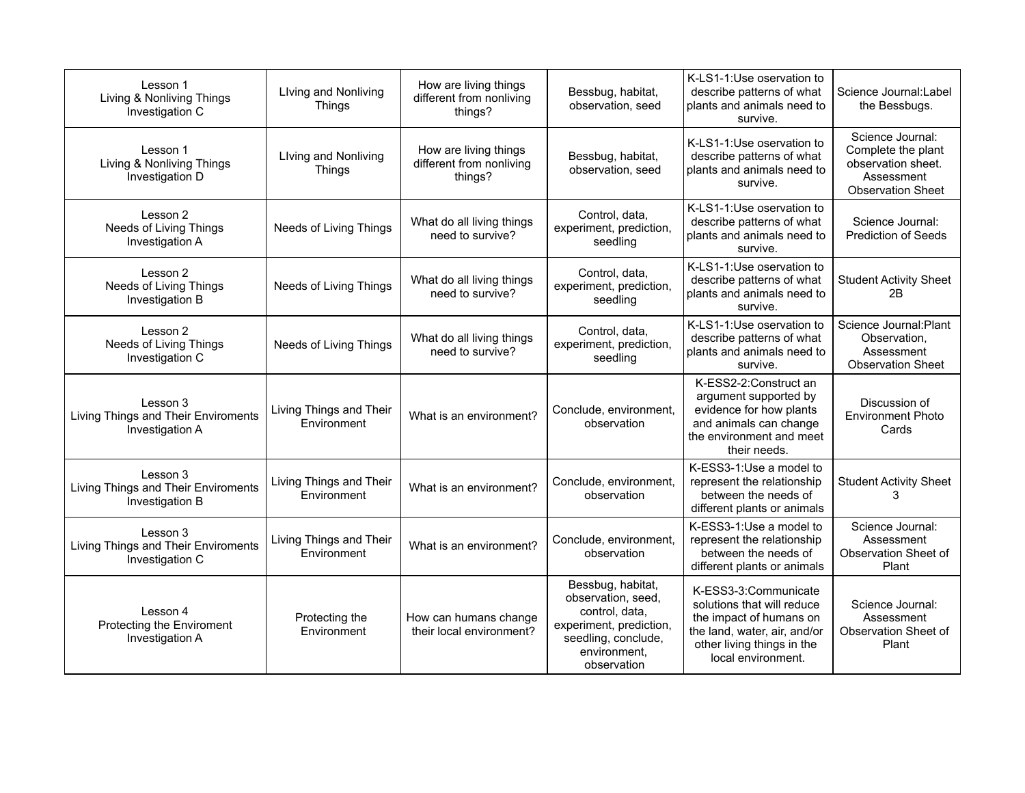| Lesson 1<br>Living & Nonliving Things<br>Investigation C           | Living and Nonliving<br><b>Things</b>  | How are living things<br>different from nonliving<br>things? | Bessbug, habitat,<br>observation, seed                                                                                                     | K-LS1-1:Use oservation to<br>describe patterns of what<br>plants and animals need to<br>survive.                                                                  | Science Journal:Label<br>the Bessbugs.                                                                 |
|--------------------------------------------------------------------|----------------------------------------|--------------------------------------------------------------|--------------------------------------------------------------------------------------------------------------------------------------------|-------------------------------------------------------------------------------------------------------------------------------------------------------------------|--------------------------------------------------------------------------------------------------------|
| Lesson 1<br>Living & Nonliving Things<br>Investigation D           | Living and Nonliving<br><b>Things</b>  | How are living things<br>different from nonliving<br>things? | Bessbug, habitat,<br>observation, seed                                                                                                     | K-LS1-1:Use oservation to<br>describe patterns of what<br>plants and animals need to<br>survive.                                                                  | Science Journal:<br>Complete the plant<br>observation sheet.<br>Assessment<br><b>Observation Sheet</b> |
| Lesson 2<br>Needs of Living Things<br>Investigation A              | Needs of Living Things                 | What do all living things<br>need to survive?                | Control, data,<br>experiment, prediction,<br>seedling                                                                                      | K-LS1-1:Use oservation to<br>describe patterns of what<br>plants and animals need to<br>survive.                                                                  | Science Journal:<br><b>Prediction of Seeds</b>                                                         |
| Lesson 2<br>Needs of Living Things<br>Investigation B              | Needs of Living Things                 | What do all living things<br>need to survive?                | Control, data,<br>experiment, prediction,<br>seedling                                                                                      | K-LS1-1:Use oservation to<br>describe patterns of what<br>plants and animals need to<br>survive.                                                                  | <b>Student Activity Sheet</b><br>2B                                                                    |
| Lesson 2<br>Needs of Living Things<br>Investigation C              | Needs of Living Things                 | What do all living things<br>need to survive?                | Control, data,<br>experiment, prediction,<br>seedling                                                                                      | K-LS1-1:Use oservation to<br>describe patterns of what<br>plants and animals need to<br>survive.                                                                  | Science Journal: Plant<br>Observation,<br>Assessment<br><b>Observation Sheet</b>                       |
| Lesson 3<br>Living Things and Their Enviroments<br>Investigation A | Living Things and Their<br>Environment | What is an environment?                                      | Conclude, environment,<br>observation                                                                                                      | K-ESS2-2:Construct an<br>argument supported by<br>evidence for how plants<br>and animals can change<br>the environment and meet<br>their needs.                   | Discussion of<br><b>Environment Photo</b><br>Cards                                                     |
| Lesson 3<br>Living Things and Their Enviroments<br>Investigation B | Living Things and Their<br>Environment | What is an environment?                                      | Conclude, environment,<br>observation                                                                                                      | K-ESS3-1:Use a model to<br>represent the relationship<br>between the needs of<br>different plants or animals                                                      | <b>Student Activity Sheet</b><br>3                                                                     |
| Lesson 3<br>Living Things and Their Enviroments<br>Investigation C | Living Things and Their<br>Environment | What is an environment?                                      | Conclude, environment,<br>observation                                                                                                      | K-ESS3-1:Use a model to<br>represent the relationship<br>between the needs of<br>different plants or animals                                                      | Science Journal:<br>Assessment<br>Observation Sheet of<br>Plant                                        |
| Lesson 4<br>Protecting the Enviroment<br>Investigation A           | Protecting the<br>Environment          | How can humans change<br>their local environment?            | Bessbug, habitat,<br>observation, seed,<br>control, data,<br>experiment, prediction,<br>seedling, conclude,<br>environment,<br>observation | K-ESS3-3:Communicate<br>solutions that will reduce<br>the impact of humans on<br>the land, water, air, and/or<br>other living things in the<br>local environment. | Science Journal:<br>Assessment<br>Observation Sheet of<br>Plant                                        |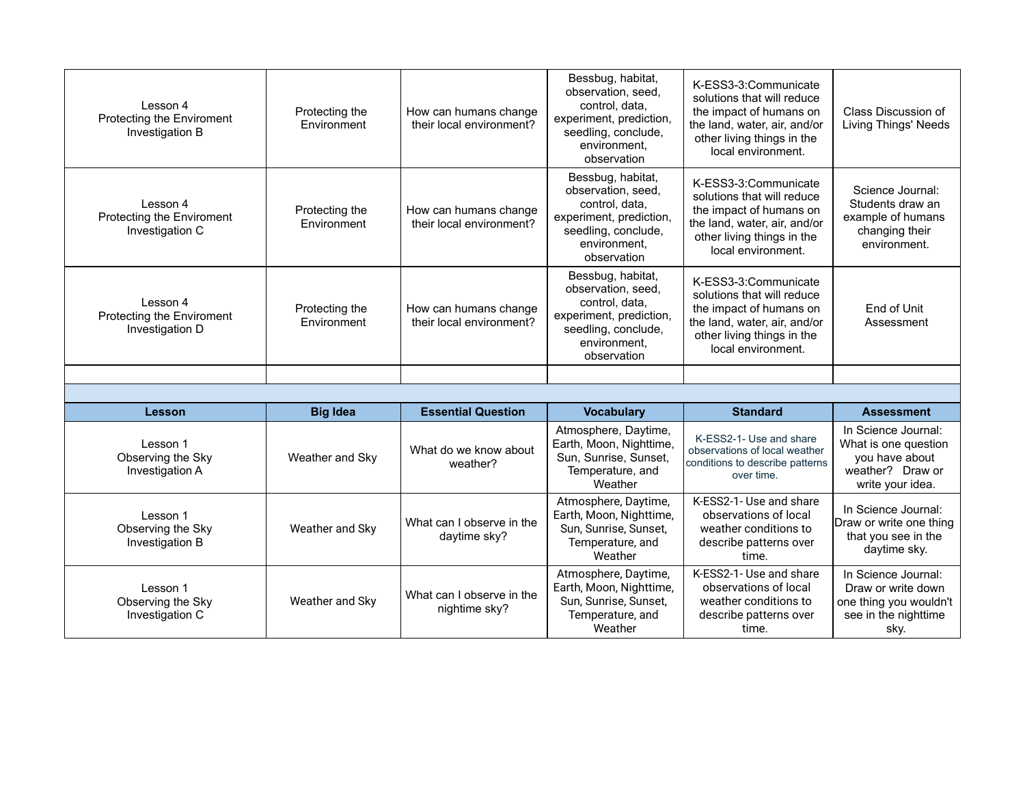| Lesson 4<br>Protecting the Enviroment<br>Investigation B | Protecting the<br>Environment | How can humans change<br>their local environment? | Bessbug, habitat,<br>observation, seed,<br>control, data,<br>experiment, prediction,<br>seedling, conclude,<br>environment.<br>observation | K-ESS3-3:Communicate<br>solutions that will reduce<br>the impact of humans on<br>the land, water, air, and/or<br>other living things in the<br>local environment. | Class Discussion of<br><b>Living Things' Needs</b>                                                    |
|----------------------------------------------------------|-------------------------------|---------------------------------------------------|--------------------------------------------------------------------------------------------------------------------------------------------|-------------------------------------------------------------------------------------------------------------------------------------------------------------------|-------------------------------------------------------------------------------------------------------|
| Lesson 4<br>Protecting the Enviroment<br>Investigation C | Protecting the<br>Environment | How can humans change<br>their local environment? | Bessbug, habitat,<br>observation, seed,<br>control, data,<br>experiment, prediction,<br>seedling, conclude,<br>environment.<br>observation | K-ESS3-3:Communicate<br>solutions that will reduce<br>the impact of humans on<br>the land, water, air, and/or<br>other living things in the<br>local environment. | Science Journal:<br>Students draw an<br>example of humans<br>changing their<br>environment.           |
| Lesson 4<br>Protecting the Enviroment<br>Investigation D | Protecting the<br>Environment | How can humans change<br>their local environment? | Bessbug, habitat,<br>observation, seed,<br>control, data,<br>experiment, prediction,<br>seedling, conclude,<br>environment.<br>observation | K-ESS3-3:Communicate<br>solutions that will reduce<br>the impact of humans on<br>the land, water, air, and/or<br>other living things in the<br>local environment. | End of Unit<br>Assessment                                                                             |
|                                                          |                               |                                                   |                                                                                                                                            |                                                                                                                                                                   |                                                                                                       |
|                                                          |                               |                                                   |                                                                                                                                            |                                                                                                                                                                   |                                                                                                       |
| Lesson                                                   | <b>Big Idea</b>               | <b>Essential Question</b>                         | <b>Vocabulary</b>                                                                                                                          | <b>Standard</b>                                                                                                                                                   | <b>Assessment</b>                                                                                     |
| Lesson 1<br>Observing the Sky<br>Investigation A         | Weather and Sky               | What do we know about<br>weather?                 | Atmosphere, Daytime,<br>Earth, Moon, Nighttime,<br>Sun, Sunrise, Sunset,<br>Temperature, and<br>Weather                                    | K-ESS2-1- Use and share<br>observations of local weather<br>conditions to describe patterns<br>over time.                                                         | In Science Journal:<br>What is one question<br>you have about<br>weather? Draw or<br>write your idea. |
| Lesson 1<br>Observing the Sky<br>Investigation B         | Weather and Sky               | What can I observe in the<br>daytime sky?         | Atmosphere, Daytime,<br>Earth, Moon, Nighttime,<br>Sun, Sunrise, Sunset,<br>Temperature, and<br>Weather                                    | K-ESS2-1- Use and share<br>observations of local<br>weather conditions to<br>describe patterns over<br>time.                                                      | In Science Journal:<br>Draw or write one thing<br>that you see in the<br>daytime sky.                 |
| Lesson 1                                                 |                               |                                                   | Atmosphere, Daytime,                                                                                                                       | K-ESS2-1- Use and share                                                                                                                                           | In Science Journal:                                                                                   |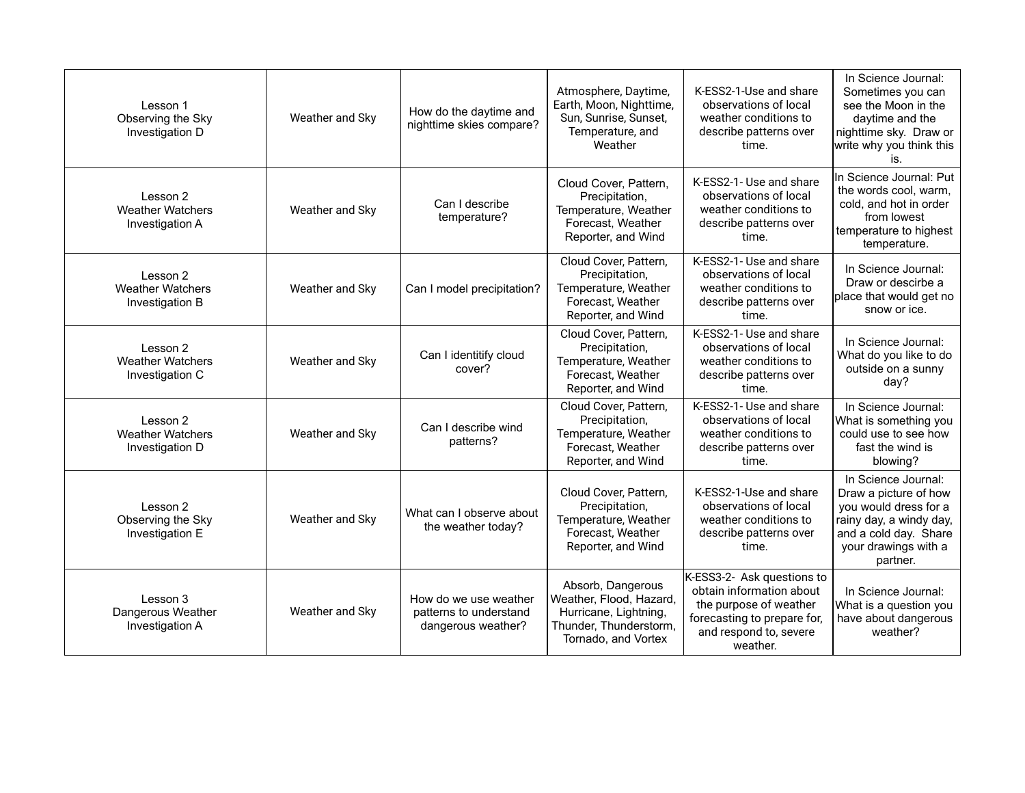| Lesson 1<br>Observing the Sky<br>Investigation D       | Weather and Sky | How do the daytime and<br>nighttime skies compare?                    | Atmosphere, Daytime,<br>Earth, Moon, Nighttime,<br>Sun, Sunrise, Sunset,<br>Temperature, and<br>Weather                | K-ESS2-1-Use and share<br>observations of local<br>weather conditions to<br>describe patterns over<br>time.                                           | In Science Journal:<br>Sometimes you can<br>see the Moon in the<br>daytime and the<br>nighttime sky. Draw or<br>write why you think this<br>İS.               |
|--------------------------------------------------------|-----------------|-----------------------------------------------------------------------|------------------------------------------------------------------------------------------------------------------------|-------------------------------------------------------------------------------------------------------------------------------------------------------|---------------------------------------------------------------------------------------------------------------------------------------------------------------|
| Lesson 2<br><b>Weather Watchers</b><br>Investigation A | Weather and Sky | Can I describe<br>temperature?                                        | Cloud Cover, Pattern,<br>Precipitation,<br>Temperature, Weather<br>Forecast, Weather<br>Reporter, and Wind             | K-ESS2-1- Use and share<br>observations of local<br>weather conditions to<br>describe patterns over<br>time.                                          | In Science Journal: Put<br>the words cool, warm,<br>cold, and hot in order<br>from lowest<br>temperature to highest<br>temperature.                           |
| Lesson 2<br><b>Weather Watchers</b><br>Investigation B | Weather and Sky | Can I model precipitation?                                            | Cloud Cover, Pattern,<br>Precipitation,<br>Temperature, Weather<br>Forecast, Weather<br>Reporter, and Wind             | K-ESS2-1- Use and share<br>observations of local<br>weather conditions to<br>describe patterns over<br>time.                                          | In Science Journal:<br>Draw or descirbe a<br>place that would get no<br>snow or ice.                                                                          |
| Lesson 2<br><b>Weather Watchers</b><br>Investigation C | Weather and Sky | Can I identitify cloud<br>cover?                                      | Cloud Cover, Pattern,<br>Precipitation,<br>Temperature, Weather<br>Forecast, Weather<br>Reporter, and Wind             | K-ESS2-1- Use and share<br>observations of local<br>weather conditions to<br>describe patterns over<br>time.                                          | In Science Journal:<br>What do you like to do<br>outside on a sunny<br>day?                                                                                   |
| Lesson 2<br><b>Weather Watchers</b><br>Investigation D | Weather and Sky | Can I describe wind<br>patterns?                                      | Cloud Cover, Pattern,<br>Precipitation,<br>Temperature, Weather<br>Forecast, Weather<br>Reporter, and Wind             | K-ESS2-1- Use and share<br>observations of local<br>weather conditions to<br>describe patterns over<br>time.                                          | In Science Journal:<br>What is something you<br>could use to see how<br>fast the wind is<br>blowing?                                                          |
| Lesson 2<br>Observing the Sky<br>Investigation E       | Weather and Sky | What can I observe about<br>the weather today?                        | Cloud Cover, Pattern,<br>Precipitation,<br>Temperature, Weather<br>Forecast, Weather<br>Reporter, and Wind             | K-ESS2-1-Use and share<br>observations of local<br>weather conditions to<br>describe patterns over<br>time.                                           | In Science Journal:<br>Draw a picture of how<br>you would dress for a<br>rainy day, a windy day,<br>and a cold day. Share<br>your drawings with a<br>partner. |
| Lesson 3<br>Dangerous Weather<br>Investigation A       | Weather and Sky | How do we use weather<br>patterns to understand<br>dangerous weather? | Absorb, Dangerous<br>Weather, Flood, Hazard,<br>Hurricane, Lightning,<br>Thunder, Thunderstorm,<br>Tornado, and Vortex | K-ESS3-2- Ask questions to<br>obtain information about<br>the purpose of weather<br>forecasting to prepare for,<br>and respond to, severe<br>weather. | In Science Journal:<br>What is a question you<br>have about dangerous<br>weather?                                                                             |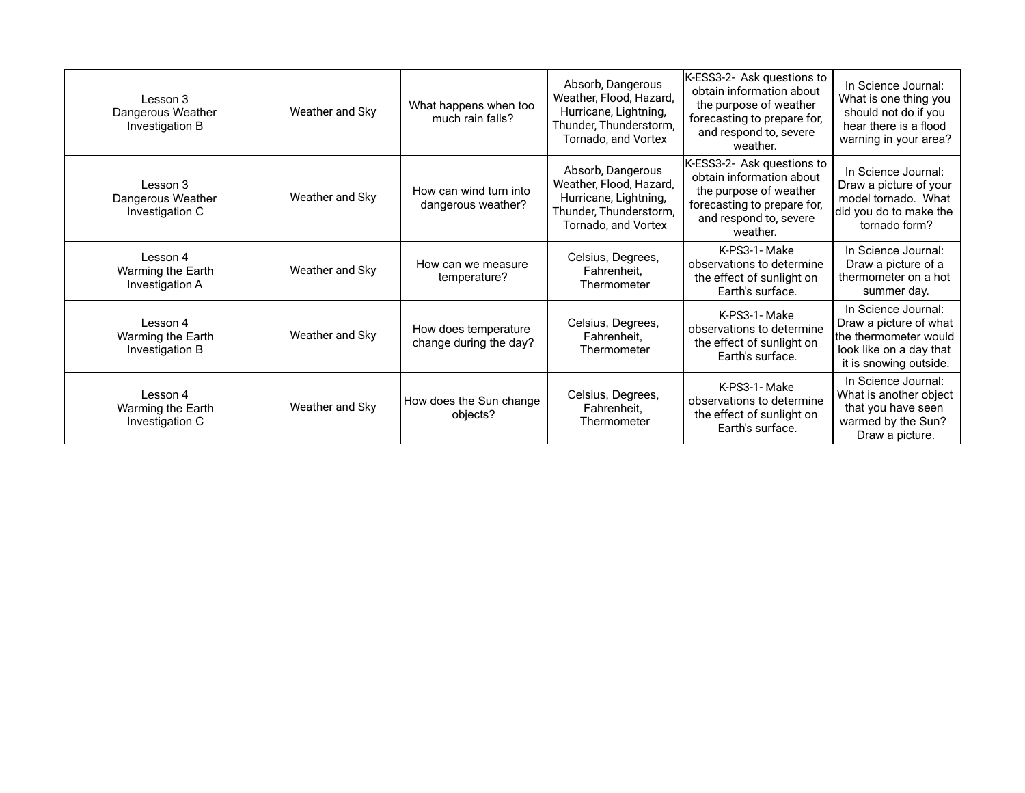| Lesson 3<br>Dangerous Weather<br>Investigation B | Weather and Sky | What happens when too<br>much rain falls?      | Absorb, Dangerous<br>Weather, Flood, Hazard,<br>Hurricane, Lightning,<br>Thunder, Thunderstorm,<br>Tornado, and Vortex | K-ESS3-2- Ask questions to<br>obtain information about<br>the purpose of weather<br>forecasting to prepare for,<br>and respond to, severe<br>weather. | In Science Journal:<br>What is one thing you<br>should not do if you<br>hear there is a flood<br>warning in your area?      |
|--------------------------------------------------|-----------------|------------------------------------------------|------------------------------------------------------------------------------------------------------------------------|-------------------------------------------------------------------------------------------------------------------------------------------------------|-----------------------------------------------------------------------------------------------------------------------------|
| Lesson 3<br>Dangerous Weather<br>Investigation C | Weather and Sky | How can wind turn into<br>dangerous weather?   | Absorb, Dangerous<br>Weather, Flood, Hazard,<br>Hurricane, Lightning,<br>Thunder, Thunderstorm,<br>Tornado, and Vortex | K-ESS3-2- Ask questions to<br>obtain information about<br>the purpose of weather<br>forecasting to prepare for,<br>and respond to, severe<br>weather. | In Science Journal:<br>Draw a picture of your<br>model tornado. What<br>did you do to make the<br>tornado form?             |
| Lesson 4<br>Warming the Earth<br>Investigation A | Weather and Sky | How can we measure<br>temperature?             | Celsius, Degrees,<br>Fahrenheit,<br>Thermometer                                                                        | K-PS3-1- Make<br>observations to determine<br>the effect of sunlight on<br>Earth's surface.                                                           | In Science Journal:<br>Draw a picture of a<br>thermometer on a hot<br>summer day.                                           |
| Lesson 4<br>Warming the Earth<br>Investigation B | Weather and Sky | How does temperature<br>change during the day? | Celsius, Degrees,<br>Fahrenheit,<br>Thermometer                                                                        | K-PS3-1- Make<br>observations to determine<br>the effect of sunlight on<br>Earth's surface.                                                           | In Science Journal:<br>Draw a picture of what<br>the thermometer would<br>look like on a day that<br>it is snowing outside. |
| Lesson 4<br>Warming the Earth<br>Investigation C | Weather and Sky | How does the Sun change<br>objects?            | Celsius, Degrees,<br>Fahrenheit,<br>Thermometer                                                                        | K-PS3-1- Make<br>observations to determine<br>the effect of sunlight on<br>Earth's surface.                                                           | In Science Journal:<br>What is another object<br>that you have seen<br>warmed by the Sun?<br>Draw a picture.                |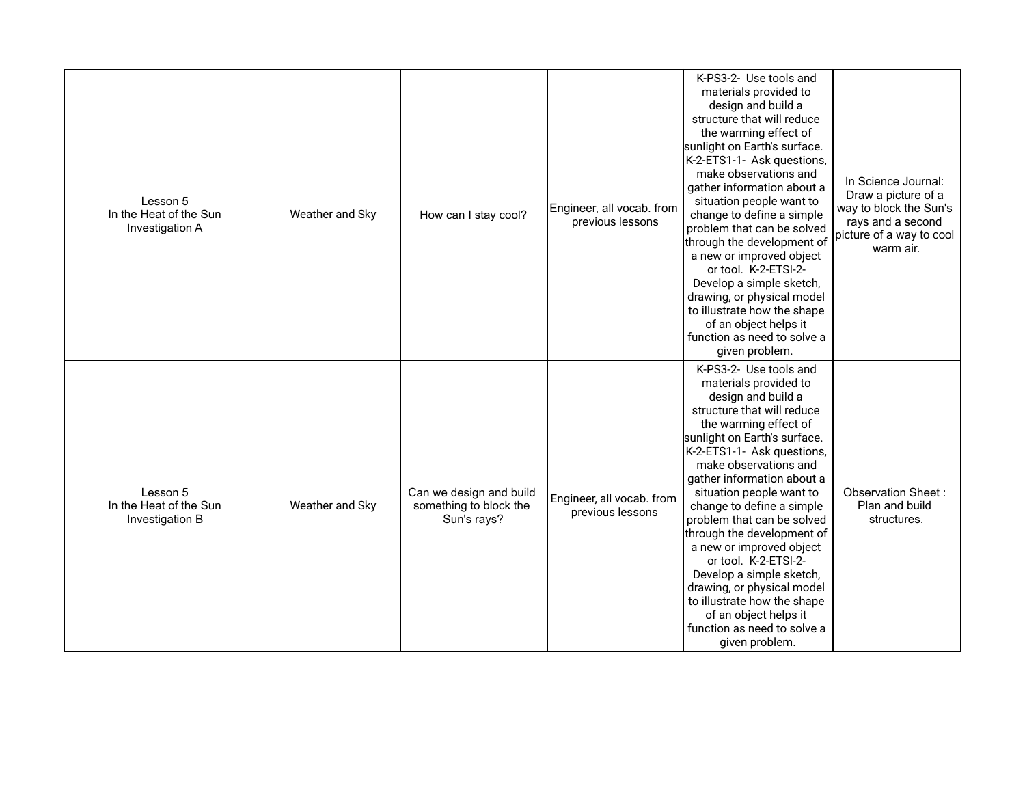| Lesson 5<br>In the Heat of the Sun<br>Investigation A | Weather and Sky | How can I stay cool?                                             | Engineer, all vocab. from<br>previous lessons | K-PS3-2- Use tools and<br>materials provided to<br>design and build a<br>structure that will reduce<br>the warming effect of<br>sunlight on Earth's surface.<br>K-2-ETS1-1- Ask questions,<br>make observations and<br>gather information about a<br>situation people want to<br>change to define a simple<br>problem that can be solved<br>through the development of<br>a new or improved object<br>or tool. K-2-ETSI-2-<br>Develop a simple sketch,<br>drawing, or physical model<br>to illustrate how the shape<br>of an object helps it<br>function as need to solve a<br>given problem. | In Science Journal:<br>Draw a picture of a<br>way to block the Sun's<br>rays and a second<br>picture of a way to cool<br>warm air. |
|-------------------------------------------------------|-----------------|------------------------------------------------------------------|-----------------------------------------------|-----------------------------------------------------------------------------------------------------------------------------------------------------------------------------------------------------------------------------------------------------------------------------------------------------------------------------------------------------------------------------------------------------------------------------------------------------------------------------------------------------------------------------------------------------------------------------------------------|------------------------------------------------------------------------------------------------------------------------------------|
| Lesson 5<br>In the Heat of the Sun<br>Investigation B | Weather and Sky | Can we design and build<br>something to block the<br>Sun's rays? | Engineer, all vocab. from<br>previous lessons | K-PS3-2- Use tools and<br>materials provided to<br>design and build a<br>structure that will reduce<br>the warming effect of<br>sunlight on Earth's surface.<br>K-2-ETS1-1- Ask questions,<br>make observations and<br>gather information about a<br>situation people want to<br>change to define a simple<br>problem that can be solved<br>through the development of<br>a new or improved object<br>or tool. K-2-ETSI-2-<br>Develop a simple sketch,<br>drawing, or physical model<br>to illustrate how the shape<br>of an object helps it<br>function as need to solve a<br>given problem. | Observation Sheet:<br>Plan and build<br>structures.                                                                                |